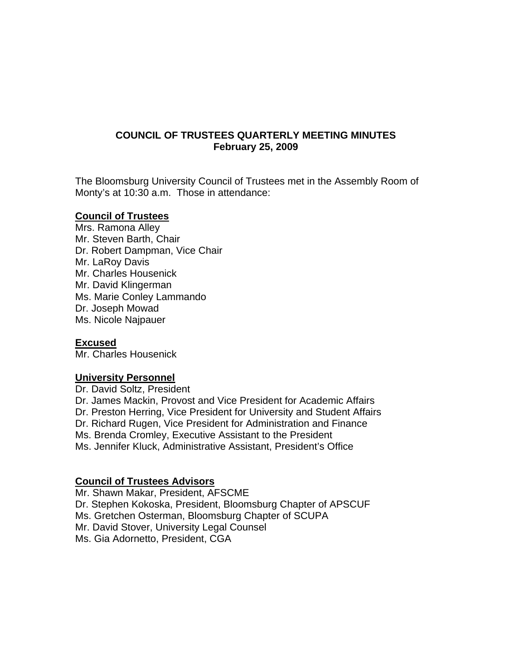## **COUNCIL OF TRUSTEES QUARTERLY MEETING MINUTES February 25, 2009**

The Bloomsburg University Council of Trustees met in the Assembly Room of Monty's at 10:30 a.m. Those in attendance:

### **Council of Trustees**

Mrs. Ramona Alley Mr. Steven Barth, Chair Dr. Robert Dampman, Vice Chair Mr. LaRoy Davis Mr. Charles Housenick Mr. David Klingerman Ms. Marie Conley Lammando Dr. Joseph Mowad Ms. Nicole Najpauer

## **Excused**

Mr. Charles Housenick

#### **University Personnel**

Dr. David Soltz, President Dr. James Mackin, Provost and Vice President for Academic Affairs Dr. Preston Herring, Vice President for University and Student Affairs Dr. Richard Rugen, Vice President for Administration and Finance Ms. Brenda Cromley, Executive Assistant to the President Ms. Jennifer Kluck, Administrative Assistant, President's Office

#### **Council of Trustees Advisors**

Mr. Shawn Makar, President, AFSCME Dr. Stephen Kokoska, President, Bloomsburg Chapter of APSCUF Ms. Gretchen Osterman, Bloomsburg Chapter of SCUPA Mr. David Stover, University Legal Counsel Ms. Gia Adornetto, President, CGA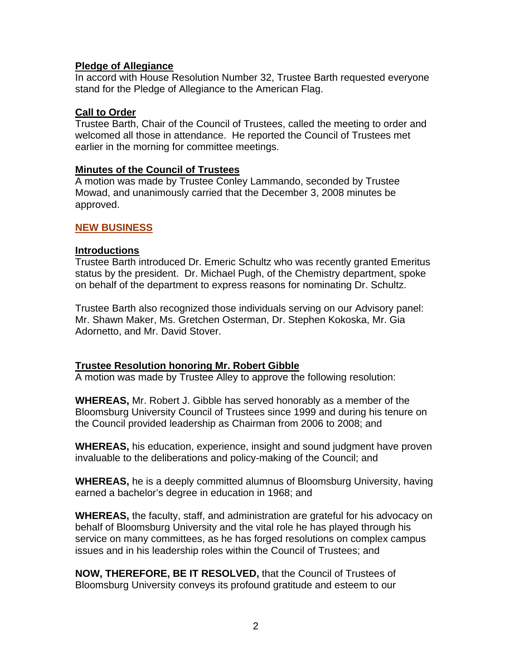## **Pledge of Allegiance**

In accord with House Resolution Number 32, Trustee Barth requested everyone stand for the Pledge of Allegiance to the American Flag.

## **Call to Order**

Trustee Barth, Chair of the Council of Trustees, called the meeting to order and welcomed all those in attendance. He reported the Council of Trustees met earlier in the morning for committee meetings.

## **Minutes of the Council of Trustees**

A motion was made by Trustee Conley Lammando, seconded by Trustee Mowad, and unanimously carried that the December 3, 2008 minutes be approved.

## **NEW BUSINESS**

## **Introductions**

Trustee Barth introduced Dr. Emeric Schultz who was recently granted Emeritus status by the president. Dr. Michael Pugh, of the Chemistry department, spoke on behalf of the department to express reasons for nominating Dr. Schultz.

Trustee Barth also recognized those individuals serving on our Advisory panel: Mr. Shawn Maker, Ms. Gretchen Osterman, Dr. Stephen Kokoska, Mr. Gia Adornetto, and Mr. David Stover.

# **Trustee Resolution honoring Mr. Robert Gibble**

A motion was made by Trustee Alley to approve the following resolution:

**WHEREAS,** Mr. Robert J. Gibble has served honorably as a member of the Bloomsburg University Council of Trustees since 1999 and during his tenure on the Council provided leadership as Chairman from 2006 to 2008; and

**WHEREAS,** his education, experience, insight and sound judgment have proven invaluable to the deliberations and policy-making of the Council; and

**WHEREAS,** he is a deeply committed alumnus of Bloomsburg University, having earned a bachelor's degree in education in 1968; and

**WHEREAS,** the faculty, staff, and administration are grateful for his advocacy on behalf of Bloomsburg University and the vital role he has played through his service on many committees, as he has forged resolutions on complex campus issues and in his leadership roles within the Council of Trustees; and

**NOW, THEREFORE, BE IT RESOLVED,** that the Council of Trustees of Bloomsburg University conveys its profound gratitude and esteem to our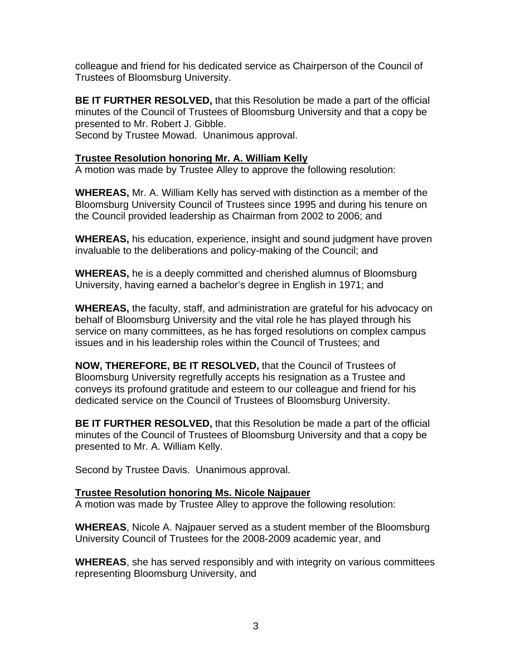colleague and friend for his dedicated service as Chairperson of the Council of Trustees of Bloomsburg University.

**BE IT FURTHER RESOLVED,** that this Resolution be made a part of the official minutes of the Council of Trustees of Bloomsburg University and that a copy be presented to Mr. Robert J. Gibble. Second by Trustee Mowad. Unanimous approval.

## **Trustee Resolution honoring Mr. A. William Kelly**

A motion was made by Trustee Alley to approve the following resolution:

**WHEREAS,** Mr. A. William Kelly has served with distinction as a member of the Bloomsburg University Council of Trustees since 1995 and during his tenure on the Council provided leadership as Chairman from 2002 to 2006; and

**WHEREAS,** his education, experience, insight and sound judgment have proven invaluable to the deliberations and policy-making of the Council; and

**WHEREAS,** he is a deeply committed and cherished alumnus of Bloomsburg University, having earned a bachelor's degree in English in 1971; and

**WHEREAS,** the faculty, staff, and administration are grateful for his advocacy on behalf of Bloomsburg University and the vital role he has played through his service on many committees, as he has forged resolutions on complex campus issues and in his leadership roles within the Council of Trustees; and

**NOW, THEREFORE, BE IT RESOLVED,** that the Council of Trustees of Bloomsburg University regretfully accepts his resignation as a Trustee and conveys its profound gratitude and esteem to our colleague and friend for his dedicated service on the Council of Trustees of Bloomsburg University.

**BE IT FURTHER RESOLVED,** that this Resolution be made a part of the official minutes of the Council of Trustees of Bloomsburg University and that a copy be presented to Mr. A. William Kelly.

Second by Trustee Davis. Unanimous approval.

## **Trustee Resolution honoring Ms. Nicole Najpauer**

A motion was made by Trustee Alley to approve the following resolution:

**WHEREAS**, Nicole A. Najpauer served as a student member of the Bloomsburg University Council of Trustees for the 2008-2009 academic year, and

**WHEREAS**, she has served responsibly and with integrity on various committees representing Bloomsburg University, and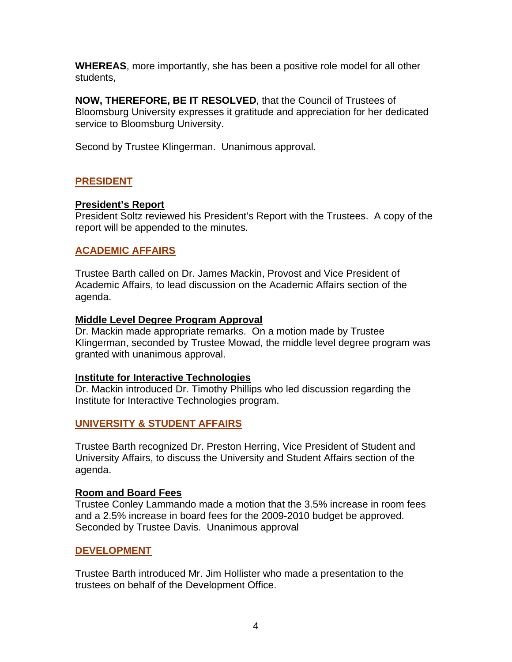**WHEREAS**, more importantly, she has been a positive role model for all other students,

**NOW, THEREFORE, BE IT RESOLVED**, that the Council of Trustees of Bloomsburg University expresses it gratitude and appreciation for her dedicated service to Bloomsburg University.

Second by Trustee Klingerman. Unanimous approval.

## **PRESIDENT**

### **President's Report**

President Soltz reviewed his President's Report with the Trustees. A copy of the report will be appended to the minutes.

### **ACADEMIC AFFAIRS**

Trustee Barth called on Dr. James Mackin, Provost and Vice President of Academic Affairs, to lead discussion on the Academic Affairs section of the agenda.

#### **Middle Level Degree Program Approval**

Dr. Mackin made appropriate remarks. On a motion made by Trustee Klingerman, seconded by Trustee Mowad, the middle level degree program was granted with unanimous approval.

#### **Institute for Interactive Technologies**

Dr. Mackin introduced Dr. Timothy Phillips who led discussion regarding the Institute for Interactive Technologies program.

## **UNIVERSITY & STUDENT AFFAIRS**

Trustee Barth recognized Dr. Preston Herring, Vice President of Student and University Affairs, to discuss the University and Student Affairs section of the agenda.

#### **Room and Board Fees**

Trustee Conley Lammando made a motion that the 3.5% increase in room fees and a 2.5% increase in board fees for the 2009-2010 budget be approved. Seconded by Trustee Davis. Unanimous approval

## **DEVELOPMENT**

Trustee Barth introduced Mr. Jim Hollister who made a presentation to the trustees on behalf of the Development Office.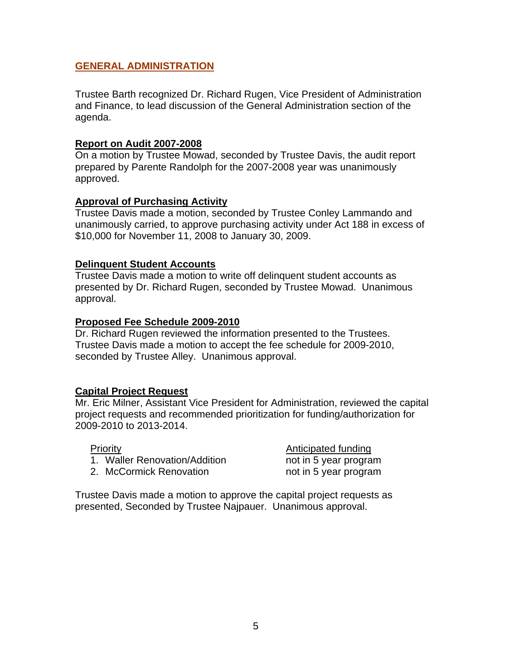## **GENERAL ADMINISTRATION**

Trustee Barth recognized Dr. Richard Rugen, Vice President of Administration and Finance, to lead discussion of the General Administration section of the agenda.

#### **Report on Audit 2007-2008**

On a motion by Trustee Mowad, seconded by Trustee Davis, the audit report prepared by Parente Randolph for the 2007-2008 year was unanimously approved.

## **Approval of Purchasing Activity**

Trustee Davis made a motion, seconded by Trustee Conley Lammando and unanimously carried, to approve purchasing activity under Act 188 in excess of \$10,000 for November 11, 2008 to January 30, 2009.

## **Delinquent Student Accounts**

Trustee Davis made a motion to write off delinquent student accounts as presented by Dr. Richard Rugen, seconded by Trustee Mowad. Unanimous approval.

### **Proposed Fee Schedule 2009-2010**

Dr. Richard Rugen reviewed the information presented to the Trustees. Trustee Davis made a motion to accept the fee schedule for 2009-2010, seconded by Trustee Alley. Unanimous approval.

## **Capital Project Request**

Mr. Eric Milner, Assistant Vice President for Administration, reviewed the capital project requests and recommended prioritization for funding/authorization for 2009-2010 to 2013-2014.

1. Waller Renovation/Addition https://www.mot.in 5 year program

Priority **Priority Anticipated funding** 2. McCormick Renovation https://www.mot.in 5 year program

Trustee Davis made a motion to approve the capital project requests as presented, Seconded by Trustee Najpauer. Unanimous approval.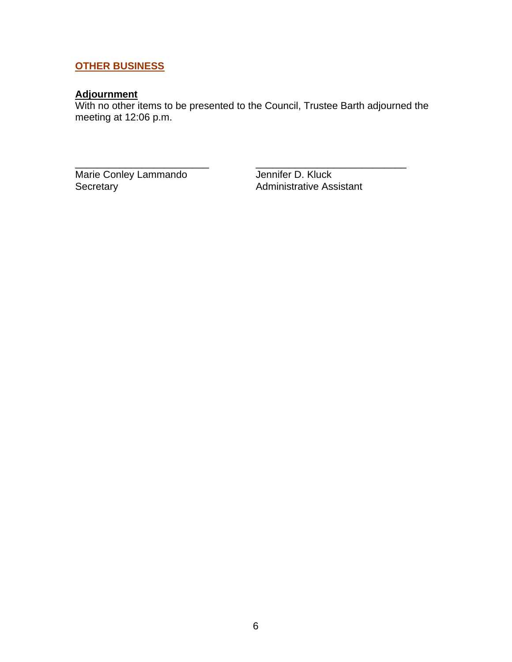# **OTHER BUSINESS**

# **Adjournment**

With no other items to be presented to the Council, Trustee Barth adjourned the meeting at 12:06 p.m.

\_\_\_\_\_\_\_\_\_\_\_\_\_\_\_\_\_\_\_\_\_\_\_\_ \_\_\_\_\_\_\_\_\_\_\_\_\_\_\_\_\_\_\_\_\_\_\_\_\_\_\_

Marie Conley Lammando<br>
Secretary Administrative Ass

Administrative Assistant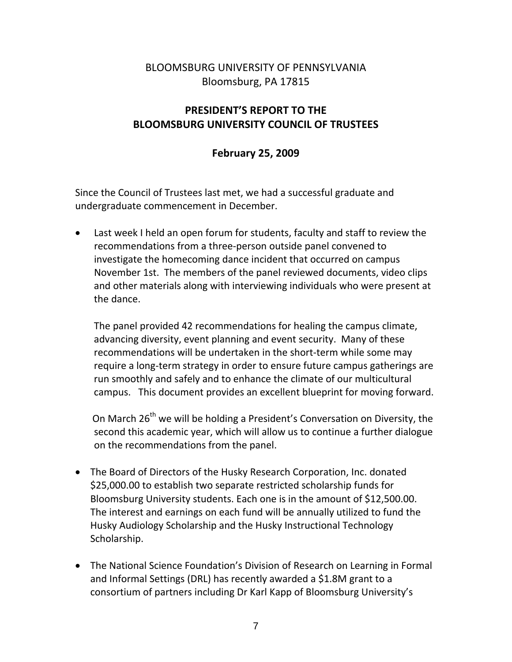# BLOOMSBURG UNIVERSITY OF PENNSYLVANIA Bloomsburg, PA 17815

# **PRESIDENT'S REPORT TO THE BLOOMSBURG UNIVERSITY COUNCIL OF TRUSTEES**

# **February 25, 2009**

Since the Council of Trustees last met, we had a successful graduate and undergraduate commencement in December.

• Last week I held an open forum for students, faculty and staff to review the recommendations from a three‐person outside panel convened to investigate the homecoming dance incident that occurred on campus November 1st. The members of the panel reviewed documents, video clips and other materials along with interviewing individuals who were present at the dance.

The panel provided 42 recommendations for healing the campus climate, advancing diversity, event planning and event security. Many of these recommendations will be undertaken in the short‐term while some may require a long‐term strategy in order to ensure future campus gatherings are run smoothly and safely and to enhance the climate of our multicultural campus. This document provides an excellent blueprint for moving forward.

On March 26<sup>th</sup> we will be holding a President's Conversation on Diversity, the second this academic year, which will allow us to continue a further dialogue on the recommendations from the panel.

- The Board of Directors of the Husky Research Corporation, Inc. donated \$25,000.00 to establish two separate restricted scholarship funds for Bloomsburg University students. Each one is in the amount of \$12,500.00. The interest and earnings on each fund will be annually utilized to fund the Husky Audiology Scholarship and the Husky Instructional Technology Scholarship.
- The National Science Foundation's Division of Research on Learning in Formal and Informal Settings (DRL) has recently awarded a \$1.8M grant to a consortium of partners including Dr Karl Kapp of Bloomsburg University's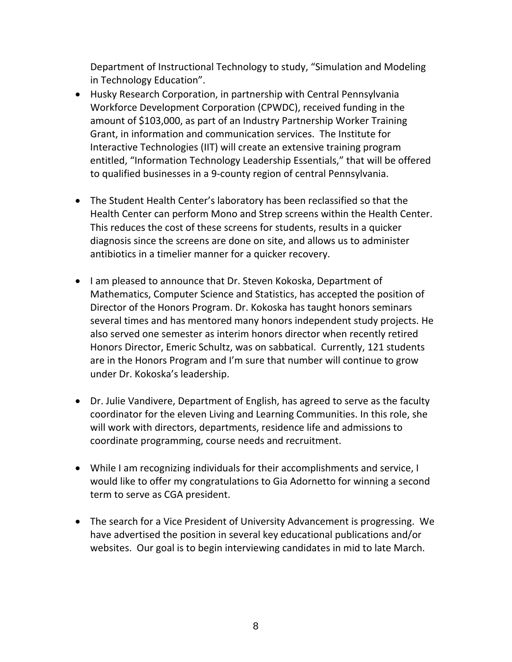Department of Instructional Technology to study, "Simulation and Modeling in Technology Education".

- Husky Research Corporation, in partnership with Central Pennsylvania Workforce Development Corporation (CPWDC), received funding in the amount of \$103,000, as part of an Industry Partnership Worker Training Grant, in information and communication services. The Institute for Interactive Technologies (IIT) will create an extensive training program entitled, "Information Technology Leadership Essentials," that will be offered to qualified businesses in a 9‐county region of central Pennsylvania.
- The Student Health Center's laboratory has been reclassified so that the Health Center can perform Mono and Strep screens within the Health Center. This reduces the cost of these screens for students, results in a quicker diagnosis since the screens are done on site, and allows us to administer antibiotics in a timelier manner for a quicker recovery.
- I am pleased to announce that Dr. Steven Kokoska, Department of Mathematics, Computer Science and Statistics, has accepted the position of Director of the Honors Program. Dr. Kokoska has taught honors seminars several times and has mentored many honors independent study projects. He also served one semester as interim honors director when recently retired Honors Director, Emeric Schultz, was on sabbatical. Currently, 121 students are in the Honors Program and I'm sure that number will continue to grow under Dr. Kokoska's leadership.
- Dr. Julie Vandivere, Department of English, has agreed to serve as the faculty coordinator for the eleven Living and Learning Communities. In this role, she will work with directors, departments, residence life and admissions to coordinate programming, course needs and recruitment.
- While I am recognizing individuals for their accomplishments and service, I would like to offer my congratulations to Gia Adornetto for winning a second term to serve as CGA president.
- The search for a Vice President of University Advancement is progressing. We have advertised the position in several key educational publications and/or websites. Our goal is to begin interviewing candidates in mid to late March.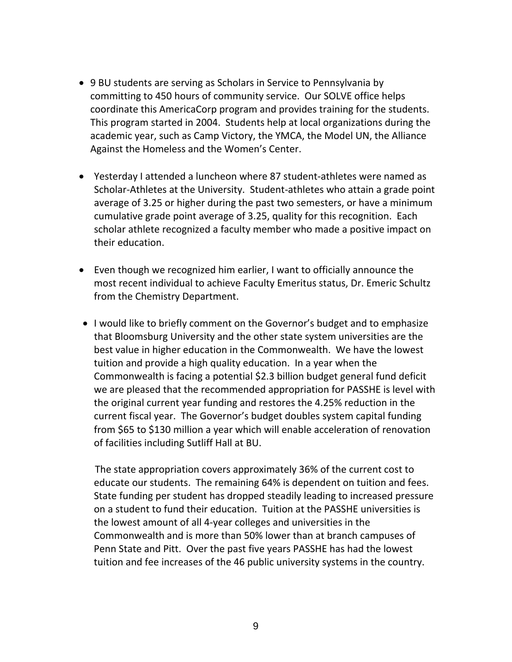- 9 BU students are serving as Scholars in Service to Pennsylvania by committing to 450 hours of community service. Our SOLVE office helps coordinate this AmericaCorp program and provides training for the students. This program started in 2004. Students help at local organizations during the academic year, such as Camp Victory, the YMCA, the Model UN, the Alliance Against the Homeless and the Women's Center.
- Yesterday I attended a luncheon where 87 student‐athletes were named as Scholar‐Athletes at the University. Student‐athletes who attain a grade point average of 3.25 or higher during the past two semesters, or have a minimum cumulative grade point average of 3.25, quality for this recognition. Each scholar athlete recognized a faculty member who made a positive impact on their education.
- Even though we recognized him earlier, I want to officially announce the most recent individual to achieve Faculty Emeritus status, Dr. Emeric Schultz from the Chemistry Department.
- I would like to briefly comment on the Governor's budget and to emphasize that Bloomsburg University and the other state system universities are the best value in higher education in the Commonwealth. We have the lowest tuition and provide a high quality education. In a year when the Commonwealth is facing a potential \$2.3 billion budget general fund deficit we are pleased that the recommended appropriation for PASSHE is level with the original current year funding and restores the 4.25% reduction in the current fiscal year. The Governor's budget doubles system capital funding from \$65 to \$130 million a year which will enable acceleration of renovation of facilities including Sutliff Hall at BU.

 The state appropriation covers approximately 36% of the current cost to educate our students. The remaining 64% is dependent on tuition and fees. State funding per student has dropped steadily leading to increased pressure on a student to fund their education. Tuition at the PASSHE universities is the lowest amount of all 4‐year colleges and universities in the Commonwealth and is more than 50% lower than at branch campuses of Penn State and Pitt. Over the past five years PASSHE has had the lowest tuition and fee increases of the 46 public university systems in the country.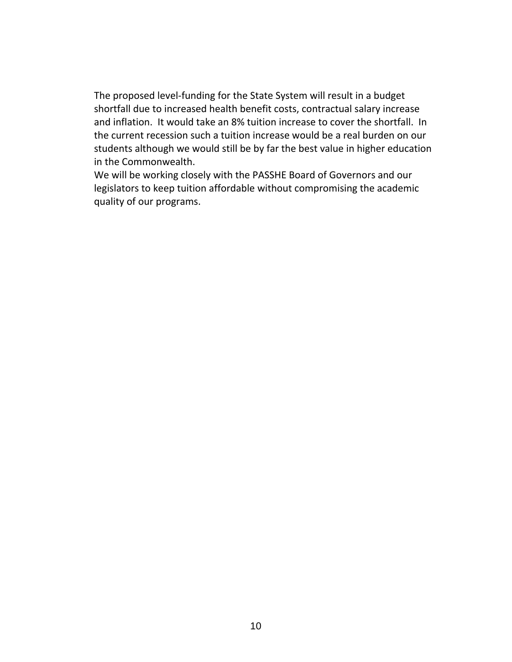The proposed level‐funding for the State System will result in a budget shortfall due to increased health benefit costs, contractual salary increase and inflation. It would take an 8% tuition increase to cover the shortfall. In the current recession such a tuition increase would be a real burden on our students although we would still be by far the best value in higher education in the Commonwealth.

We will be working closely with the PASSHE Board of Governors and our legislators to keep tuition affordable without compromising the academic quality of our programs.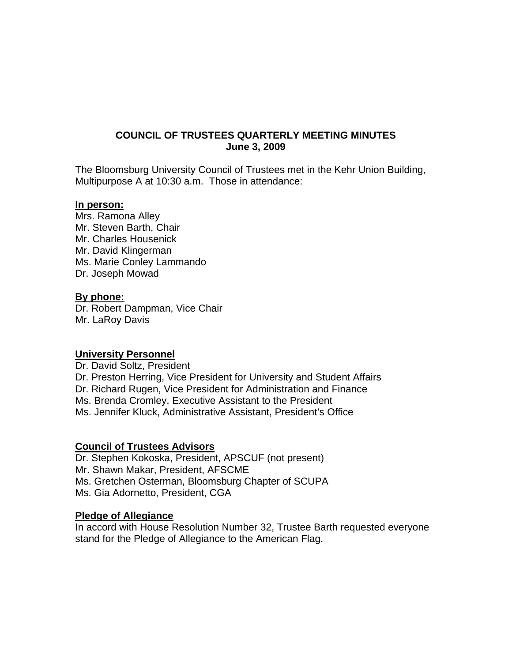## **COUNCIL OF TRUSTEES QUARTERLY MEETING MINUTES June 3, 2009**

The Bloomsburg University Council of Trustees met in the Kehr Union Building, Multipurpose A at 10:30 a.m. Those in attendance:

#### **In person:**

Mrs. Ramona Alley Mr. Steven Barth, Chair Mr. Charles Housenick Mr. David Klingerman Ms. Marie Conley Lammando Dr. Joseph Mowad

#### **By phone:**

Dr. Robert Dampman, Vice Chair Mr. LaRoy Davis

#### **University Personnel**

Dr. David Soltz, President Dr. Preston Herring, Vice President for University and Student Affairs Dr. Richard Rugen, Vice President for Administration and Finance Ms. Brenda Cromley, Executive Assistant to the President Ms. Jennifer Kluck, Administrative Assistant, President's Office

#### **Council of Trustees Advisors**

Dr. Stephen Kokoska, President, APSCUF (not present) Mr. Shawn Makar, President, AFSCME Ms. Gretchen Osterman, Bloomsburg Chapter of SCUPA Ms. Gia Adornetto, President, CGA

#### **Pledge of Allegiance**

In accord with House Resolution Number 32, Trustee Barth requested everyone stand for the Pledge of Allegiance to the American Flag.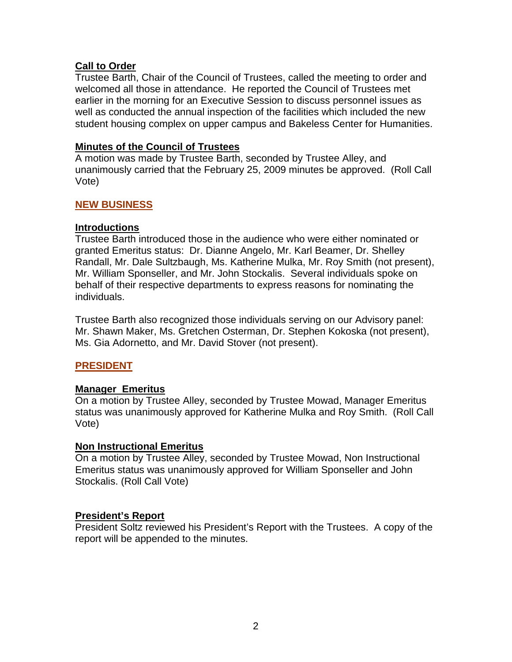## **Call to Order**

Trustee Barth, Chair of the Council of Trustees, called the meeting to order and welcomed all those in attendance. He reported the Council of Trustees met earlier in the morning for an Executive Session to discuss personnel issues as well as conducted the annual inspection of the facilities which included the new student housing complex on upper campus and Bakeless Center for Humanities.

## **Minutes of the Council of Trustees**

A motion was made by Trustee Barth, seconded by Trustee Alley, and unanimously carried that the February 25, 2009 minutes be approved. (Roll Call Vote)

## **NEW BUSINESS**

## **Introductions**

Trustee Barth introduced those in the audience who were either nominated or granted Emeritus status: Dr. Dianne Angelo, Mr. Karl Beamer, Dr. Shelley Randall, Mr. Dale Sultzbaugh, Ms. Katherine Mulka, Mr. Roy Smith (not present), Mr. William Sponseller, and Mr. John Stockalis. Several individuals spoke on behalf of their respective departments to express reasons for nominating the individuals.

Trustee Barth also recognized those individuals serving on our Advisory panel: Mr. Shawn Maker, Ms. Gretchen Osterman, Dr. Stephen Kokoska (not present), Ms. Gia Adornetto, and Mr. David Stover (not present).

# **PRESIDENT**

## **Manager Emeritus**

On a motion by Trustee Alley, seconded by Trustee Mowad, Manager Emeritus status was unanimously approved for Katherine Mulka and Roy Smith. (Roll Call Vote)

## **Non Instructional Emeritus**

On a motion by Trustee Alley, seconded by Trustee Mowad, Non Instructional Emeritus status was unanimously approved for William Sponseller and John Stockalis. (Roll Call Vote)

## **President's Report**

President Soltz reviewed his President's Report with the Trustees. A copy of the report will be appended to the minutes.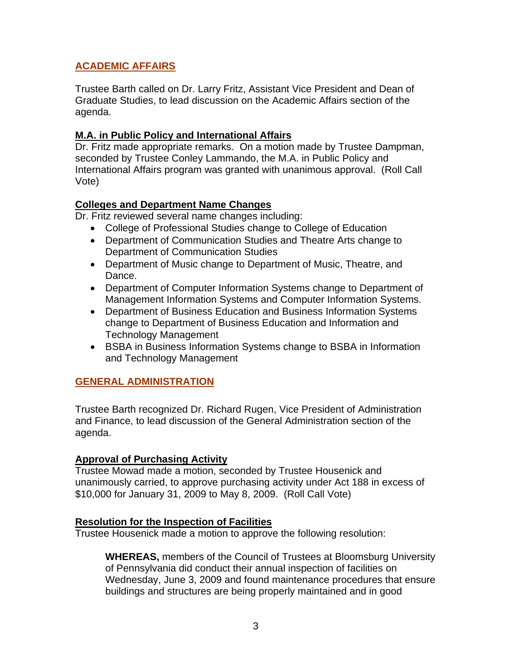# **ACADEMIC AFFAIRS**

Trustee Barth called on Dr. Larry Fritz, Assistant Vice President and Dean of Graduate Studies, to lead discussion on the Academic Affairs section of the agenda.

# **M.A. in Public Policy and International Affairs**

Dr. Fritz made appropriate remarks. On a motion made by Trustee Dampman, seconded by Trustee Conley Lammando, the M.A. in Public Policy and International Affairs program was granted with unanimous approval. (Roll Call Vote)

# **Colleges and Department Name Changes**

Dr. Fritz reviewed several name changes including:

- College of Professional Studies change to College of Education
- Department of Communication Studies and Theatre Arts change to Department of Communication Studies
- Department of Music change to Department of Music, Theatre, and Dance.
- Department of Computer Information Systems change to Department of Management Information Systems and Computer Information Systems.
- Department of Business Education and Business Information Systems change to Department of Business Education and Information and Technology Management
- BSBA in Business Information Systems change to BSBA in Information and Technology Management

# **GENERAL ADMINISTRATION**

Trustee Barth recognized Dr. Richard Rugen, Vice President of Administration and Finance, to lead discussion of the General Administration section of the agenda.

# **Approval of Purchasing Activity**

Trustee Mowad made a motion, seconded by Trustee Housenick and unanimously carried, to approve purchasing activity under Act 188 in excess of \$10,000 for January 31, 2009 to May 8, 2009. (Roll Call Vote)

## **Resolution for the Inspection of Facilities**

Trustee Housenick made a motion to approve the following resolution:

**WHEREAS,** members of the Council of Trustees at Bloomsburg University of Pennsylvania did conduct their annual inspection of facilities on Wednesday, June 3, 2009 and found maintenance procedures that ensure buildings and structures are being properly maintained and in good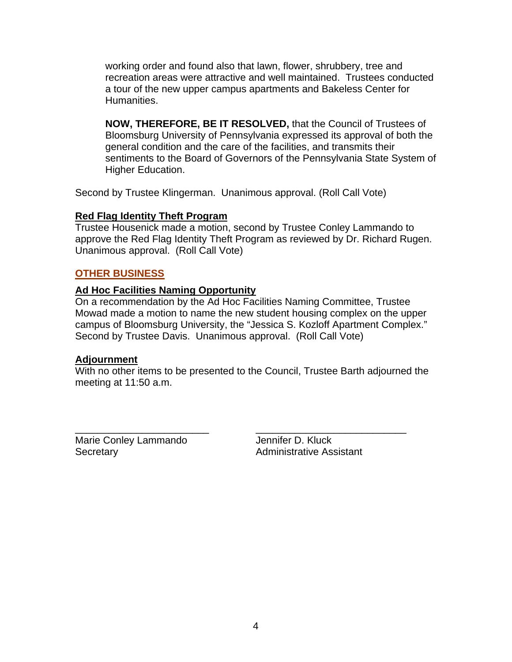working order and found also that lawn, flower, shrubbery, tree and recreation areas were attractive and well maintained. Trustees conducted a tour of the new upper campus apartments and Bakeless Center for Humanities.

**NOW, THEREFORE, BE IT RESOLVED,** that the Council of Trustees of Bloomsburg University of Pennsylvania expressed its approval of both the general condition and the care of the facilities, and transmits their sentiments to the Board of Governors of the Pennsylvania State System of Higher Education.

Second by Trustee Klingerman. Unanimous approval. (Roll Call Vote)

# **Red Flag Identity Theft Program**

Trustee Housenick made a motion, second by Trustee Conley Lammando to approve the Red Flag Identity Theft Program as reviewed by Dr. Richard Rugen. Unanimous approval. (Roll Call Vote)

# **OTHER BUSINESS**

# **Ad Hoc Facilities Naming Opportunity**

On a recommendation by the Ad Hoc Facilities Naming Committee, Trustee Mowad made a motion to name the new student housing complex on the upper campus of Bloomsburg University, the "Jessica S. Kozloff Apartment Complex." Second by Trustee Davis. Unanimous approval. (Roll Call Vote)

## **Adjournment**

With no other items to be presented to the Council, Trustee Barth adjourned the meeting at 11:50 a.m.

\_\_\_\_\_\_\_\_\_\_\_\_\_\_\_\_\_\_\_\_\_\_\_\_ \_\_\_\_\_\_\_\_\_\_\_\_\_\_\_\_\_\_\_\_\_\_\_\_\_\_\_ Marie Conley Lammando **Jennifer D. Kluck** Secretary **Administrative Assistant**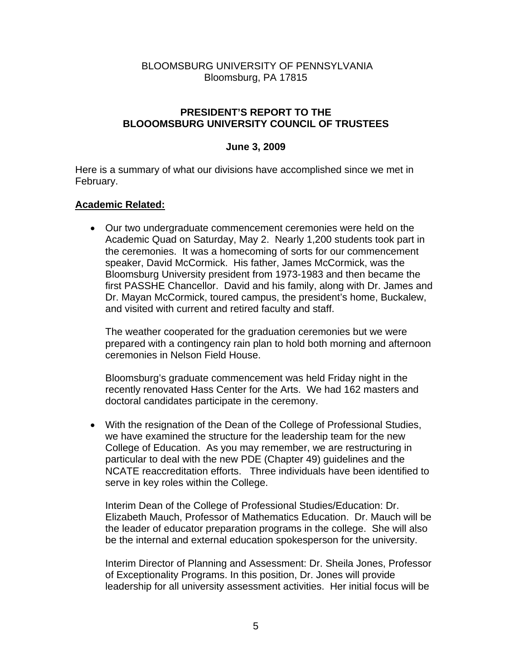## BLOOMSBURG UNIVERSITY OF PENNSYLVANIA Bloomsburg, PA 17815

## **PRESIDENT'S REPORT TO THE BLOOOMSBURG UNIVERSITY COUNCIL OF TRUSTEES**

### **June 3, 2009**

Here is a summary of what our divisions have accomplished since we met in February.

### **Academic Related:**

• Our two undergraduate commencement ceremonies were held on the Academic Quad on Saturday, May 2. Nearly 1,200 students took part in the ceremonies. It was a homecoming of sorts for our commencement speaker, David McCormick. His father, James McCormick, was the Bloomsburg University president from 1973-1983 and then became the first PASSHE Chancellor. David and his family, along with Dr. James and Dr. Mayan McCormick, toured campus, the president's home, Buckalew, and visited with current and retired faculty and staff.

The weather cooperated for the graduation ceremonies but we were prepared with a contingency rain plan to hold both morning and afternoon ceremonies in Nelson Field House.

Bloomsburg's graduate commencement was held Friday night in the recently renovated Hass Center for the Arts. We had 162 masters and doctoral candidates participate in the ceremony.

• With the resignation of the Dean of the College of Professional Studies, we have examined the structure for the leadership team for the new College of Education. As you may remember, we are restructuring in particular to deal with the new PDE (Chapter 49) guidelines and the NCATE reaccreditation efforts. Three individuals have been identified to serve in key roles within the College.

Interim Dean of the College of Professional Studies/Education: Dr. Elizabeth Mauch, Professor of Mathematics Education. Dr. Mauch will be the leader of educator preparation programs in the college. She will also be the internal and external education spokesperson for the university.

Interim Director of Planning and Assessment: Dr. Sheila Jones, Professor of Exceptionality Programs. In this position, Dr. Jones will provide leadership for all university assessment activities. Her initial focus will be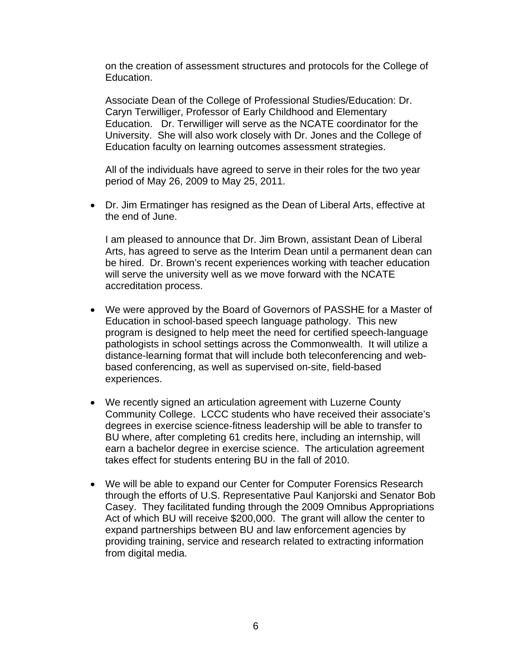on the creation of assessment structures and protocols for the College of Education.

Associate Dean of the College of Professional Studies/Education: Dr. Caryn Terwilliger, Professor of Early Childhood and Elementary Education. Dr. Terwilliger will serve as the NCATE coordinator for the University. She will also work closely with Dr. Jones and the College of Education faculty on learning outcomes assessment strategies.

All of the individuals have agreed to serve in their roles for the two year period of May 26, 2009 to May 25, 2011.

• Dr. Jim Ermatinger has resigned as the Dean of Liberal Arts, effective at the end of June.

I am pleased to announce that Dr. Jim Brown, assistant Dean of Liberal Arts, has agreed to serve as the Interim Dean until a permanent dean can be hired. Dr. Brown's recent experiences working with teacher education will serve the university well as we move forward with the NCATE accreditation process.

- We were approved by the Board of Governors of PASSHE for a Master of Education in school-based speech language pathology. This new program is designed to help meet the need for certified speech-language pathologists in school settings across the Commonwealth. It will utilize a distance-learning format that will include both teleconferencing and webbased conferencing, as well as supervised on-site, field-based experiences.
- We recently signed an articulation agreement with Luzerne County Community College. LCCC students who have received their associate's degrees in exercise science-fitness leadership will be able to transfer to BU where, after completing 61 credits here, including an internship, will earn a bachelor degree in exercise science. The articulation agreement takes effect for students entering BU in the fall of 2010.
- We will be able to expand our Center for Computer Forensics Research through the efforts of U.S. Representative Paul Kanjorski and Senator Bob Casey. They facilitated funding through the 2009 Omnibus Appropriations Act of which BU will receive \$200,000. The grant will allow the center to expand partnerships between BU and law enforcement agencies by providing training, service and research related to extracting information from digital media.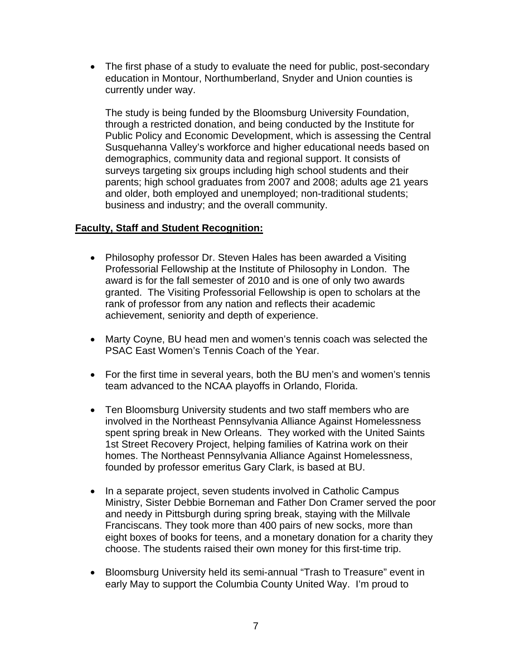• The first phase of a study to evaluate the need for public, post-secondary education in Montour, Northumberland, Snyder and Union counties is currently under way.

The study is being funded by the Bloomsburg University Foundation, through a restricted donation, and being conducted by the Institute for Public Policy and Economic Development, which is assessing the Central Susquehanna Valley's workforce and higher educational needs based on demographics, community data and regional support. It consists of surveys targeting six groups including high school students and their parents; high school graduates from 2007 and 2008; adults age 21 years and older, both employed and unemployed; non-traditional students; business and industry; and the overall community.

## **Faculty, Staff and Student Recognition:**

- Philosophy professor Dr. Steven Hales has been awarded a Visiting Professorial Fellowship at the Institute of Philosophy in London. The award is for the fall semester of 2010 and is one of only two awards granted. The Visiting Professorial Fellowship is open to scholars at the rank of professor from any nation and reflects their academic achievement, seniority and depth of experience.
- Marty Coyne, BU head men and women's tennis coach was selected the PSAC East Women's Tennis Coach of the Year.
- For the first time in several years, both the BU men's and women's tennis team advanced to the NCAA playoffs in Orlando, Florida.
- Ten Bloomsburg University students and two staff members who are involved in the Northeast Pennsylvania Alliance Against Homelessness spent spring break in New Orleans. They worked with the United Saints 1st Street Recovery Project, helping families of Katrina work on their homes. The Northeast Pennsylvania Alliance Against Homelessness, founded by professor emeritus Gary Clark, is based at BU.
- In a separate project, seven students involved in Catholic Campus Ministry, Sister Debbie Borneman and Father Don Cramer served the poor and needy in Pittsburgh during spring break, staying with the Millvale Franciscans. They took more than 400 pairs of new socks, more than eight boxes of books for teens, and a monetary donation for a charity they choose. The students raised their own money for this first-time trip.
- Bloomsburg University held its semi-annual "Trash to Treasure" event in early May to support the Columbia County United Way. I'm proud to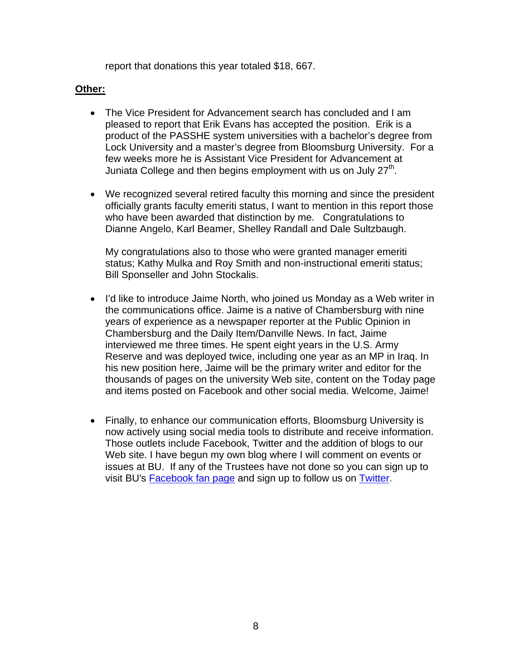report that donations this year totaled \$18, 667.

## **Other:**

- The Vice President for Advancement search has concluded and I am pleased to report that Erik Evans has accepted the position. Erik is a product of the PASSHE system universities with a bachelor's degree from Lock University and a master's degree from Bloomsburg University. For a few weeks more he is Assistant Vice President for Advancement at Juniata College and then begins employment with us on July  $27<sup>th</sup>$ .
- We recognized several retired faculty this morning and since the president officially grants faculty emeriti status, I want to mention in this report those who have been awarded that distinction by me. Congratulations to Dianne Angelo, Karl Beamer, Shelley Randall and Dale Sultzbaugh.

My congratulations also to those who were granted manager emeriti status; Kathy Mulka and Roy Smith and non-instructional emeriti status; Bill Sponseller and John Stockalis.

- I'd like to introduce Jaime North, who joined us Monday as a Web writer in the communications office. Jaime is a native of Chambersburg with nine years of experience as a newspaper reporter at the Public Opinion in Chambersburg and the Daily Item/Danville News. In fact, Jaime interviewed me three times. He spent eight years in the U.S. Army Reserve and was deployed twice, including one year as an MP in Iraq. In his new position here, Jaime will be the primary writer and editor for the thousands of pages on the university Web site, content on the Today page and items posted on Facebook and other social media. Welcome, Jaime!
- Finally, to enhance our communication efforts, Bloomsburg University is now actively using social media tools to distribute and receive information. Those outlets include Facebook, Twitter and the addition of blogs to our Web site. I have begun my own blog where I will comment on events or issues at BU. If any of the Trustees have not done so you can sign up to visit BU's [Facebook fan page](http://www.facebook.com/pages/Bloomsburg-PA/Bloomsburg-University-of-Pennsylvania/62249106585?v=wall&viewas=1355438819) and sign up to follow us on [Twitter.](http://twitter.com/BloomsburgU)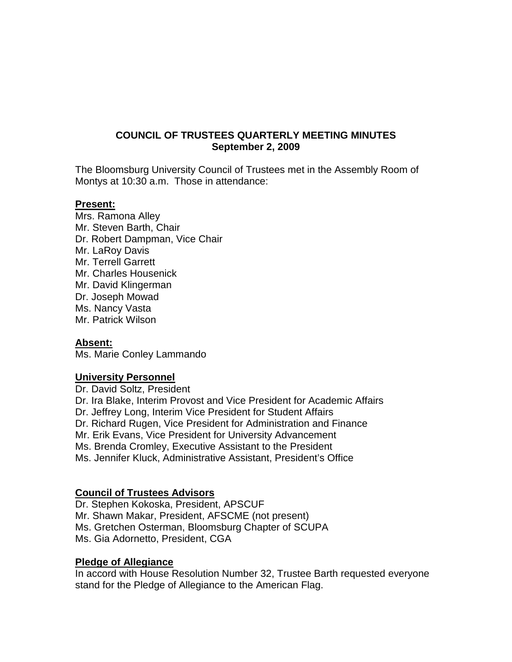## **COUNCIL OF TRUSTEES QUARTERLY MEETING MINUTES September 2, 2009**

The Bloomsburg University Council of Trustees met in the Assembly Room of Montys at 10:30 a.m. Those in attendance:

#### **Present:**

Mrs. Ramona Alley Mr. Steven Barth, Chair Dr. Robert Dampman, Vice Chair Mr. LaRoy Davis Mr. Terrell Garrett Mr. Charles Housenick Mr. David Klingerman Dr. Joseph Mowad Ms. Nancy Vasta Mr. Patrick Wilson

#### **Absent:**

Ms. Marie Conley Lammando

#### **University Personnel**

Dr. David Soltz, President Dr. Ira Blake, Interim Provost and Vice President for Academic Affairs Dr. Jeffrey Long, Interim Vice President for Student Affairs Dr. Richard Rugen, Vice President for Administration and Finance Mr. Erik Evans, Vice President for University Advancement Ms. Brenda Cromley, Executive Assistant to the President Ms. Jennifer Kluck, Administrative Assistant, President's Office

## **Council of Trustees Advisors**

Dr. Stephen Kokoska, President, APSCUF Mr. Shawn Makar, President, AFSCME (not present) Ms. Gretchen Osterman, Bloomsburg Chapter of SCUPA Ms. Gia Adornetto, President, CGA

#### **Pledge of Allegiance**

In accord with House Resolution Number 32, Trustee Barth requested everyone stand for the Pledge of Allegiance to the American Flag.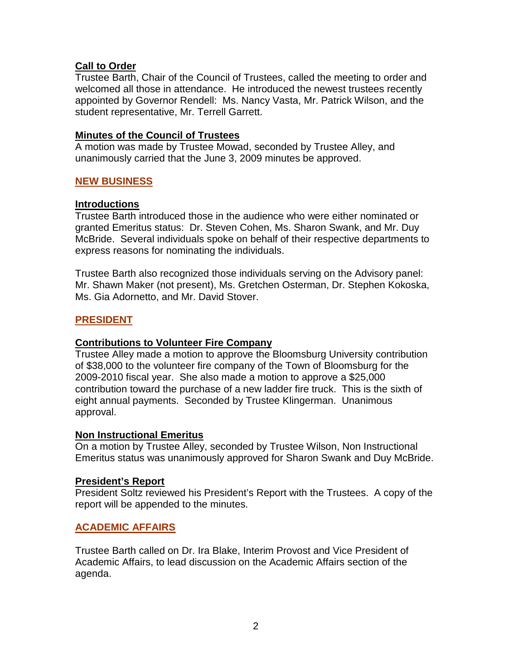## **Call to Order**

Trustee Barth, Chair of the Council of Trustees, called the meeting to order and welcomed all those in attendance. He introduced the newest trustees recently appointed by Governor Rendell: Ms. Nancy Vasta, Mr. Patrick Wilson, and the student representative, Mr. Terrell Garrett.

## **Minutes of the Council of Trustees**

A motion was made by Trustee Mowad, seconded by Trustee Alley, and unanimously carried that the June 3, 2009 minutes be approved.

## **NEW BUSINESS**

### **Introductions**

Trustee Barth introduced those in the audience who were either nominated or granted Emeritus status: Dr. Steven Cohen, Ms. Sharon Swank, and Mr. Duy McBride. Several individuals spoke on behalf of their respective departments to express reasons for nominating the individuals.

Trustee Barth also recognized those individuals serving on the Advisory panel: Mr. Shawn Maker (not present), Ms. Gretchen Osterman, Dr. Stephen Kokoska, Ms. Gia Adornetto, and Mr. David Stover.

### **PRESIDENT**

#### *<sup>U</sup>***Contributions to Volunteer Fire Company**

Trustee Alley made a motion to approve the Bloomsburg University contribution of \$38,000 to the volunteer fire company of the Town of Bloomsburg for the 2009-2010 fiscal year. She also made a motion to approve a \$25,000 contribution toward the purchase of a new ladder fire truck. This is the sixth of eight annual payments. Seconded by Trustee Klingerman. Unanimous approval.

#### **Non Instructional Emeritus**

On a motion by Trustee Alley, seconded by Trustee Wilson, Non Instructional Emeritus status was unanimously approved for Sharon Swank and Duy McBride.

#### **President's Report**

President Soltz reviewed his President's Report with the Trustees. A copy of the report will be appended to the minutes.

## **ACADEMIC AFFAIRS**

Trustee Barth called on Dr. Ira Blake, Interim Provost and Vice President of Academic Affairs, to lead discussion on the Academic Affairs section of the agenda.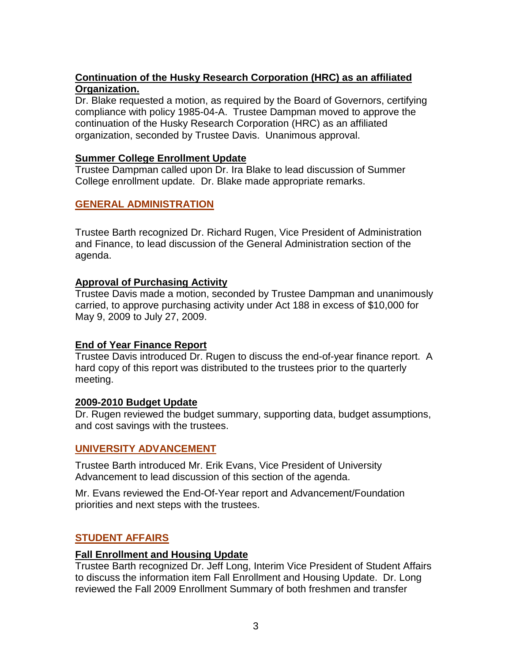# *<sup>U</sup>***Continuation of the Husky Research Corporation (HRC) as an affiliated Organization.**

Dr. Blake requested a motion, as required by the Board of Governors, certifying compliance with policy 1985-04-A. Trustee Dampman moved to approve the continuation of the Husky Research Corporation (HRC) as an affiliated organization, seconded by Trustee Davis. Unanimous approval.

## *<sup>U</sup>***Summer College Enrollment Update**

Trustee Dampman called upon Dr. Ira Blake to lead discussion of Summer College enrollment update. Dr. Blake made appropriate remarks.

## **GENERAL ADMINISTRATION**

Trustee Barth recognized Dr. Richard Rugen, Vice President of Administration and Finance, to lead discussion of the General Administration section of the agenda.

## **Approval of Purchasing Activity**

Trustee Davis made a motion, seconded by Trustee Dampman and unanimously carried, to approve purchasing activity under Act 188 in excess of \$10,000 for May 9, 2009 to July 27, 2009.

# **End of Year Finance Report**

Trustee Davis introduced Dr. Rugen to discuss the end-of-year finance report. A hard copy of this report was distributed to the trustees prior to the quarterly meeting.

## **2009-2010 Budget Update**

Dr. Rugen reviewed the budget summary, supporting data, budget assumptions, and cost savings with the trustees.

## **UNIVERSITY ADVANCEMENT**

Trustee Barth introduced Mr. Erik Evans, Vice President of University Advancement to lead discussion of this section of the agenda.

Mr. Evans reviewed the End-Of-Year report and Advancement/Foundation priorities and next steps with the trustees.

# **STUDENT AFFAIRS**

## **Fall Enrollment and Housing Update**

Trustee Barth recognized Dr. Jeff Long, Interim Vice President of Student Affairs to discuss the information item Fall Enrollment and Housing Update. Dr. Long reviewed the Fall 2009 Enrollment Summary of both freshmen and transfer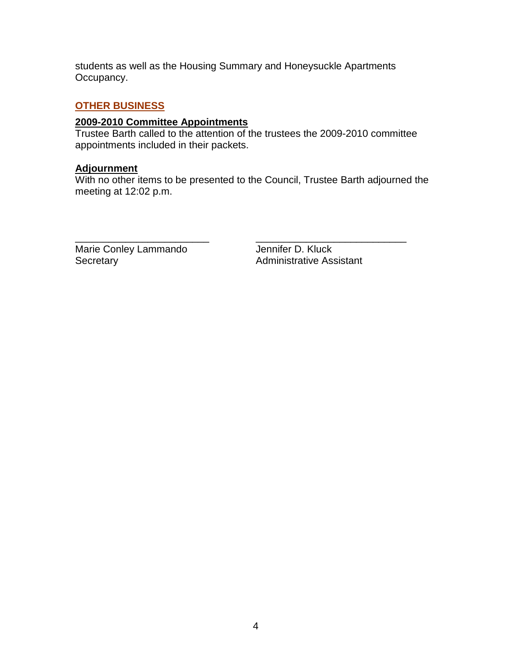students as well as the Housing Summary and Honeysuckle Apartments Occupancy.

# **OTHER BUSINESS**

### **2009-2010 Committee Appointments**

Trustee Barth called to the attention of the trustees the 2009-2010 committee appointments included in their packets.

#### **Adjournment**

With no other items to be presented to the Council, Trustee Barth adjourned the meeting at 12:02 p.m.

\_\_\_\_\_\_\_\_\_\_\_\_\_\_\_\_\_\_\_\_\_\_\_\_ \_\_\_\_\_\_\_\_\_\_\_\_\_\_\_\_\_\_\_\_\_\_\_\_\_\_\_ Marie Conley Lammando Jennifer D. Kluck<br>Secretary Administrative Ass

Administrative Assistant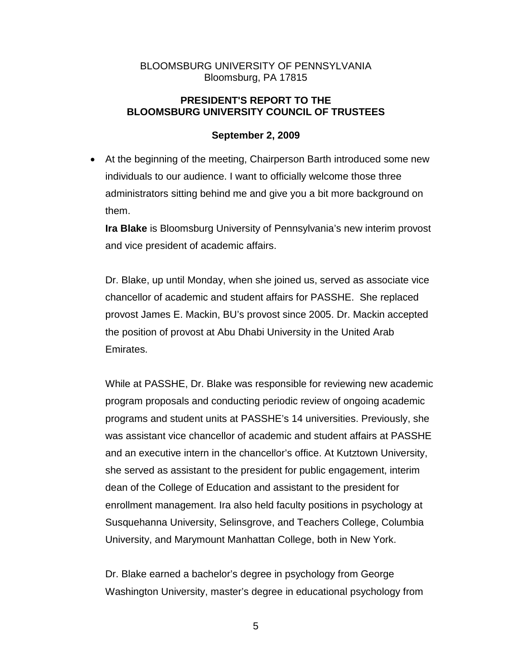## BLOOMSBURG UNIVERSITY OF PENNSYLVANIA Bloomsburg, PA 17815

## **PRESIDENT'S REPORT TO THE BLOOMSBURG UNIVERSITY COUNCIL OF TRUSTEES**

## **September 2, 2009**

• At the beginning of the meeting, Chairperson Barth introduced some new individuals to our audience. I want to officially welcome those three administrators sitting behind me and give you a bit more background on them.

**Ira Blake** is Bloomsburg University of Pennsylvania's new interim provost and vice president of academic affairs.

Dr. Blake, up until Monday, when she joined us, served as associate vice chancellor of academic and student affairs for PASSHE. She replaced provost James E. Mackin, BU's provost since 2005. Dr. Mackin accepted the position of provost at Abu Dhabi University in the United Arab Emirates.

While at PASSHE, Dr. Blake was responsible for reviewing new academic program proposals and conducting periodic review of ongoing academic programs and student units at PASSHE's 14 universities. Previously, she was assistant vice chancellor of academic and student affairs at PASSHE and an executive intern in the chancellor's office. At Kutztown University, she served as assistant to the president for public engagement, interim dean of the College of Education and assistant to the president for enrollment management. Ira also held faculty positions in psychology at Susquehanna University, Selinsgrove, and Teachers College, Columbia University, and Marymount Manhattan College, both in New York.

Dr. Blake earned a bachelor's degree in psychology from George Washington University, master's degree in educational psychology from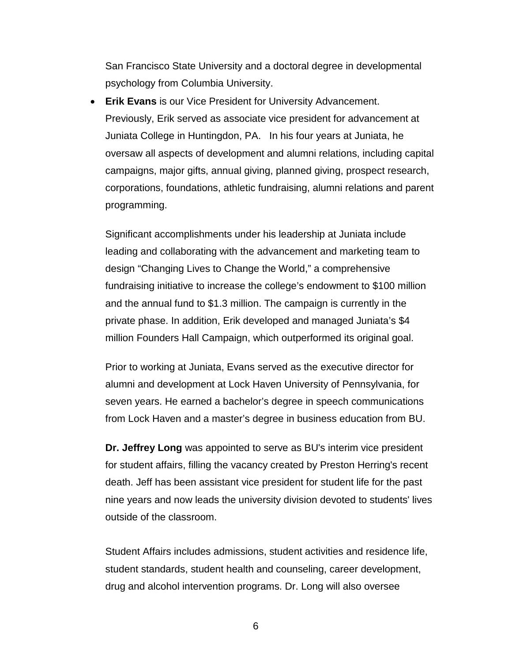San Francisco State University and a doctoral degree in developmental psychology from Columbia University.

• **Erik Evans** is our Vice President for University Advancement. Previously, Erik served as associate vice president for advancement at Juniata College in Huntingdon, PA. In his four years at Juniata, he oversaw all aspects of development and alumni relations, including capital campaigns, major gifts, annual giving, planned giving, prospect research, corporations, foundations, athletic fundraising, alumni relations and parent programming.

Significant accomplishments under his leadership at Juniata include leading and collaborating with the advancement and marketing team to design "Changing Lives to Change the World," a comprehensive fundraising initiative to increase the college's endowment to \$100 million and the annual fund to \$1.3 million. The campaign is currently in the private phase. In addition, Erik developed and managed Juniata's \$4 million Founders Hall Campaign, which outperformed its original goal.

Prior to working at Juniata, Evans served as the executive director for alumni and development at Lock Haven University of Pennsylvania, for seven years. He earned a bachelor's degree in speech communications from Lock Haven and a master's degree in business education from BU.

**Dr. Jeffrey Long** was appointed to serve as BU's interim vice president for student affairs, filling the vacancy created by Preston Herring's recent death. Jeff has been assistant vice president for student life for the past nine years and now leads the university division devoted to students' lives outside of the classroom.

Student Affairs includes admissions, student activities and residence life, student standards, student health and counseling, career development, drug and alcohol intervention programs. Dr. Long will also oversee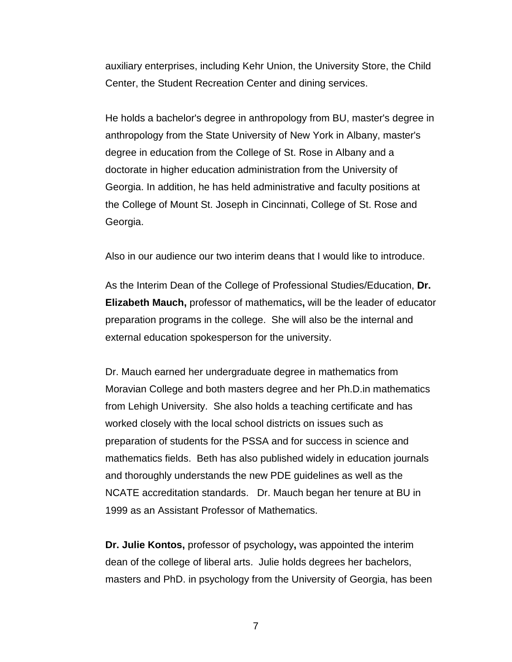auxiliary enterprises, including Kehr Union, the University Store, the Child Center, the Student Recreation Center and dining services.

He holds a bachelor's degree in anthropology from BU, master's degree in anthropology from the State University of New York in Albany, master's degree in education from the College of St. Rose in Albany and a doctorate in higher education administration from the University of Georgia. In addition, he has held administrative and faculty positions at the College of Mount St. Joseph in Cincinnati, College of St. Rose and Georgia.

Also in our audience our two interim deans that I would like to introduce.

As the Interim Dean of the College of Professional Studies/Education, **Dr. Elizabeth Mauch,** professor of mathematics**,** will be the leader of educator preparation programs in the college. She will also be the internal and external education spokesperson for the university.

Dr. Mauch earned her undergraduate degree in mathematics from Moravian College and both masters degree and her Ph.D.in mathematics from Lehigh University. She also holds a teaching certificate and has worked closely with the local school districts on issues such as preparation of students for the PSSA and for success in science and mathematics fields. Beth has also published widely in education journals and thoroughly understands the new PDE guidelines as well as the NCATE accreditation standards. Dr. Mauch began her tenure at BU in 1999 as an Assistant Professor of Mathematics.

**Dr. Julie Kontos,** professor of psychology**,** was appointed the interim dean of the college of liberal arts. Julie holds degrees her bachelors, masters and PhD. in psychology from the University of Georgia, has been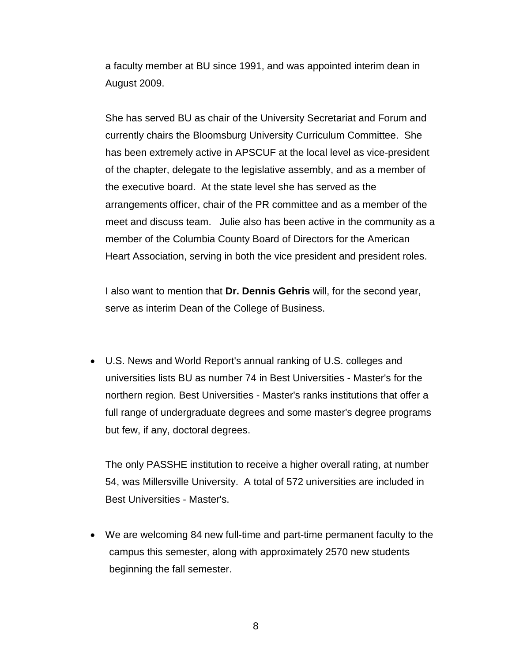a faculty member at BU since 1991, and was appointed interim dean in August 2009.

She has served BU as chair of the University Secretariat and Forum and currently chairs the Bloomsburg University Curriculum Committee. She has been extremely active in APSCUF at the local level as vice-president of the chapter, delegate to the legislative assembly, and as a member of the executive board. At the state level she has served as the arrangements officer, chair of the PR committee and as a member of the meet and discuss team. Julie also has been active in the community as a member of the Columbia County Board of Directors for the American Heart Association, serving in both the vice president and president roles.

I also want to mention that **Dr. Dennis Gehris** will, for the second year, serve as interim Dean of the College of Business.

• U.S. News and World Report's annual ranking of U.S. colleges and universities lists BU as number 74 in Best Universities - Master's for the northern region. Best Universities - Master's ranks institutions that offer a full range of undergraduate degrees and some master's degree programs but few, if any, doctoral degrees.

The only PASSHE institution to receive a higher overall rating, at number 54, was Millersville University. A total of 572 universities are included in Best Universities - Master's.

• We are welcoming 84 new full-time and part-time permanent faculty to the campus this semester, along with approximately 2570 new students beginning the fall semester.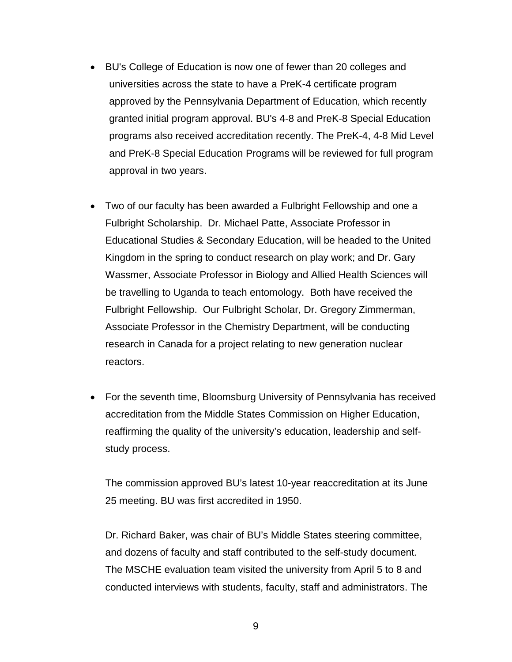- BU's College of Education is now one of fewer than 20 colleges and universities across the state to have a PreK-4 certificate program approved by the Pennsylvania Department of Education, which recently granted initial program approval. BU's 4-8 and PreK-8 Special Education programs also received accreditation recently. The PreK-4, 4-8 Mid Level and PreK-8 Special Education Programs will be reviewed for full program approval in two years.
- Two of our faculty has been awarded a Fulbright Fellowship and one a Fulbright Scholarship. Dr. Michael Patte, Associate Professor in Educational Studies & Secondary Education, will be headed to the United Kingdom in the spring to conduct research on play work; and Dr. Gary Wassmer, Associate Professor in Biology and Allied Health Sciences will be travelling to Uganda to teach entomology. Both have received the Fulbright Fellowship. Our Fulbright Scholar, Dr. Gregory Zimmerman, Associate Professor in the Chemistry Department, will be conducting research in Canada for a project relating to new generation nuclear reactors.
- For the seventh time, Bloomsburg University of Pennsylvania has received accreditation from the Middle States Commission on Higher Education, reaffirming the quality of the university's education, leadership and selfstudy process.

The commission approved BU's latest 10-year reaccreditation at its June 25 meeting. BU was first accredited in 1950.

Dr. Richard Baker, was chair of BU's Middle States steering committee, and dozens of faculty and staff contributed to the self-study document. The MSCHE evaluation team visited the university from April 5 to 8 and conducted interviews with students, faculty, staff and administrators. The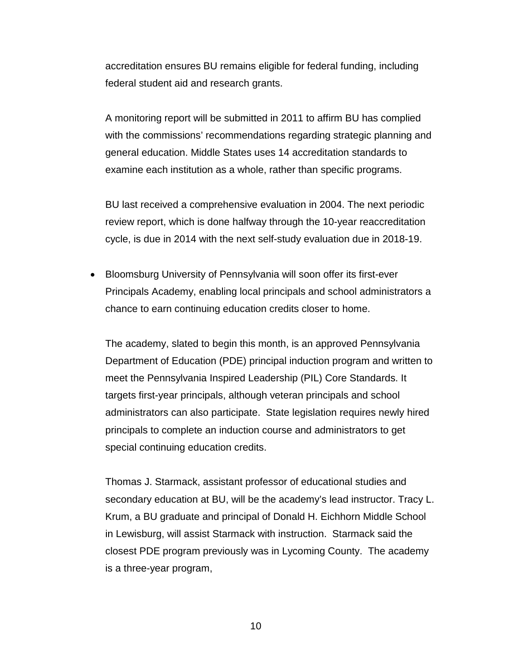accreditation ensures BU remains eligible for federal funding, including federal student aid and research grants.

A monitoring report will be submitted in 2011 to affirm BU has complied with the commissions' recommendations regarding strategic planning and general education. Middle States uses 14 accreditation standards to examine each institution as a whole, rather than specific programs.

BU last received a comprehensive evaluation in 2004. The next periodic review report, which is done halfway through the 10-year reaccreditation cycle, is due in 2014 with the next self-study evaluation due in 2018-19.

• Bloomsburg University of Pennsylvania will soon offer its first-ever Principals Academy, enabling local principals and school administrators a chance to earn continuing education credits closer to home.

The academy, slated to begin this month, is an approved Pennsylvania Department of Education (PDE) principal induction program and written to meet the Pennsylvania Inspired Leadership (PIL) Core Standards. It targets first-year principals, although veteran principals and school administrators can also participate. State legislation requires newly hired principals to complete an induction course and administrators to get special continuing education credits.

Thomas J. Starmack, assistant professor of educational studies and secondary education at BU, will be the academy's lead instructor. Tracy L. Krum, a BU graduate and principal of Donald H. Eichhorn Middle School in Lewisburg, will assist Starmack with instruction. Starmack said the closest PDE program previously was in Lycoming County. The academy is a three-year program,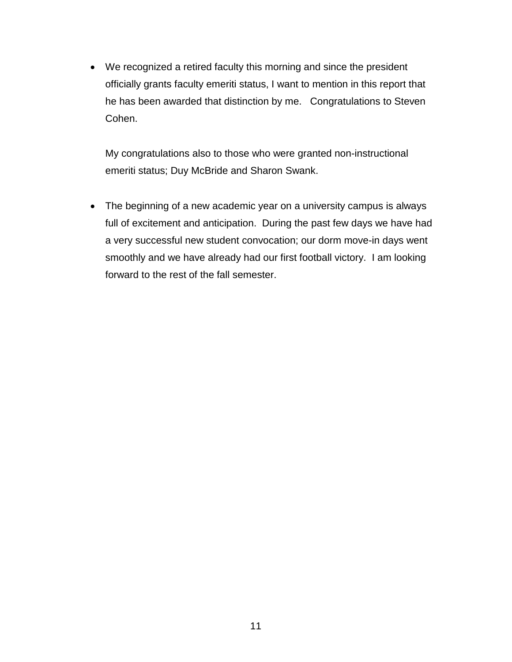• We recognized a retired faculty this morning and since the president officially grants faculty emeriti status, I want to mention in this report that he has been awarded that distinction by me. Congratulations to Steven Cohen.

My congratulations also to those who were granted non-instructional emeriti status; Duy McBride and Sharon Swank.

• The beginning of a new academic year on a university campus is always full of excitement and anticipation. During the past few days we have had a very successful new student convocation; our dorm move-in days went smoothly and we have already had our first football victory. I am looking forward to the rest of the fall semester.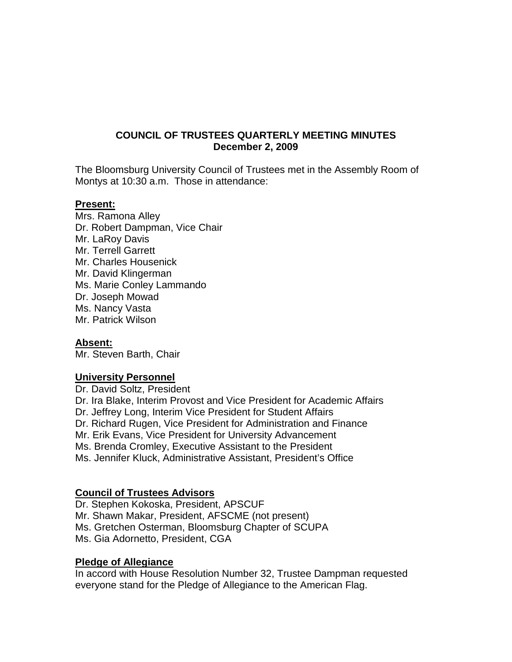## **COUNCIL OF TRUSTEES QUARTERLY MEETING MINUTES December 2, 2009**

The Bloomsburg University Council of Trustees met in the Assembly Room of Montys at 10:30 a.m. Those in attendance:

#### **Present:**

Mrs. Ramona Alley Dr. Robert Dampman, Vice Chair Mr. LaRoy Davis Mr. Terrell Garrett Mr. Charles Housenick Mr. David Klingerman Ms. Marie Conley Lammando Dr. Joseph Mowad Ms. Nancy Vasta Mr. Patrick Wilson

#### **Absent:**

Mr. Steven Barth, Chair

#### **University Personnel**

Dr. David Soltz, President Dr. Ira Blake, Interim Provost and Vice President for Academic Affairs Dr. Jeffrey Long, Interim Vice President for Student Affairs Dr. Richard Rugen, Vice President for Administration and Finance Mr. Erik Evans, Vice President for University Advancement Ms. Brenda Cromley, Executive Assistant to the President Ms. Jennifer Kluck, Administrative Assistant, President's Office

## **Council of Trustees Advisors**

Dr. Stephen Kokoska, President, APSCUF Mr. Shawn Makar, President, AFSCME (not present) Ms. Gretchen Osterman, Bloomsburg Chapter of SCUPA Ms. Gia Adornetto, President, CGA

## **Pledge of Allegiance**

In accord with House Resolution Number 32, Trustee Dampman requested everyone stand for the Pledge of Allegiance to the American Flag.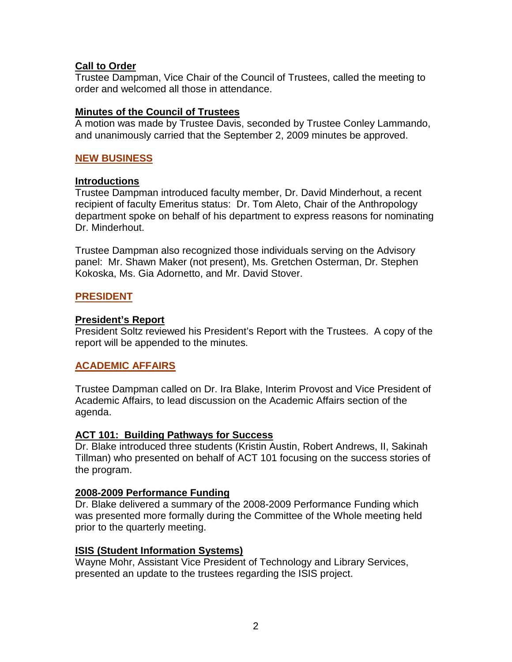## **Call to Order**

Trustee Dampman, Vice Chair of the Council of Trustees, called the meeting to order and welcomed all those in attendance.

## **Minutes of the Council of Trustees**

A motion was made by Trustee Davis, seconded by Trustee Conley Lammando, and unanimously carried that the September 2, 2009 minutes be approved.

# **NEW BUSINESS**

## **Introductions**

Trustee Dampman introduced faculty member, Dr. David Minderhout, a recent recipient of faculty Emeritus status: Dr. Tom Aleto, Chair of the Anthropology department spoke on behalf of his department to express reasons for nominating Dr. Minderhout.

Trustee Dampman also recognized those individuals serving on the Advisory panel: Mr. Shawn Maker (not present), Ms. Gretchen Osterman, Dr. Stephen Kokoska, Ms. Gia Adornetto, and Mr. David Stover.

## **PRESIDENT**

## **President's Report**

President Soltz reviewed his President's Report with the Trustees. A copy of the report will be appended to the minutes.

# **ACADEMIC AFFAIRS**

Trustee Dampman called on Dr. Ira Blake, Interim Provost and Vice President of Academic Affairs, to lead discussion on the Academic Affairs section of the agenda.

## **ACT 101: Building Pathways for Success**

Dr. Blake introduced three students (Kristin Austin, Robert Andrews, II, Sakinah Tillman) who presented on behalf of ACT 101 focusing on the success stories of the program.

## **2008-2009 Performance Funding**

Dr. Blake delivered a summary of the 2008-2009 Performance Funding which was presented more formally during the Committee of the Whole meeting held prior to the quarterly meeting.

## **ISIS (Student Information Systems)**

Wayne Mohr, Assistant Vice President of Technology and Library Services, presented an update to the trustees regarding the ISIS project.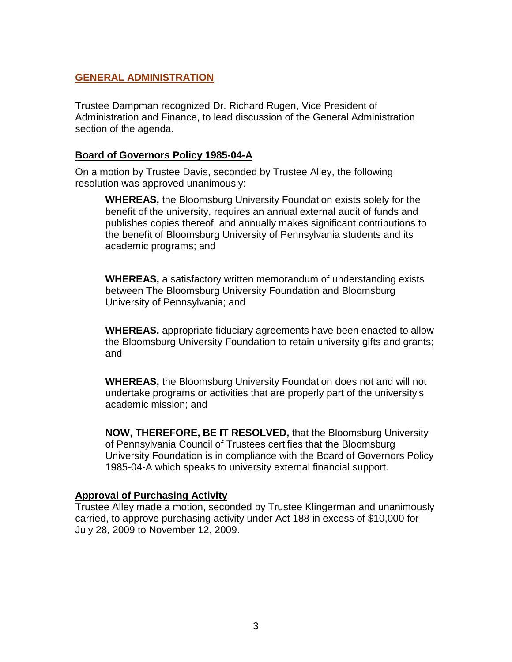# **GENERAL ADMINISTRATION**

Trustee Dampman recognized Dr. Richard Rugen, Vice President of Administration and Finance, to lead discussion of the General Administration section of the agenda.

## **Board of Governors Policy 1985-04-A**

On a motion by Trustee Davis, seconded by Trustee Alley, the following resolution was approved unanimously:

**WHEREAS,** the Bloomsburg University Foundation exists solely for the benefit of the university, requires an annual external audit of funds and publishes copies thereof, and annually makes significant contributions to the benefit of Bloomsburg University of Pennsylvania students and its academic programs; and

**WHEREAS,** a satisfactory written memorandum of understanding exists between The Bloomsburg University Foundation and Bloomsburg University of Pennsylvania; and

**WHEREAS,** appropriate fiduciary agreements have been enacted to allow the Bloomsburg University Foundation to retain university gifts and grants; and

**WHEREAS,** the Bloomsburg University Foundation does not and will not undertake programs or activities that are properly part of the university's academic mission; and

**NOW, THEREFORE, BE IT RESOLVED,** that the Bloomsburg University of Pennsylvania Council of Trustees certifies that the Bloomsburg University Foundation is in compliance with the Board of Governors Policy 1985-04-A which speaks to university external financial support.

#### **Approval of Purchasing Activity**

Trustee Alley made a motion, seconded by Trustee Klingerman and unanimously carried, to approve purchasing activity under Act 188 in excess of \$10,000 for July 28, 2009 to November 12, 2009.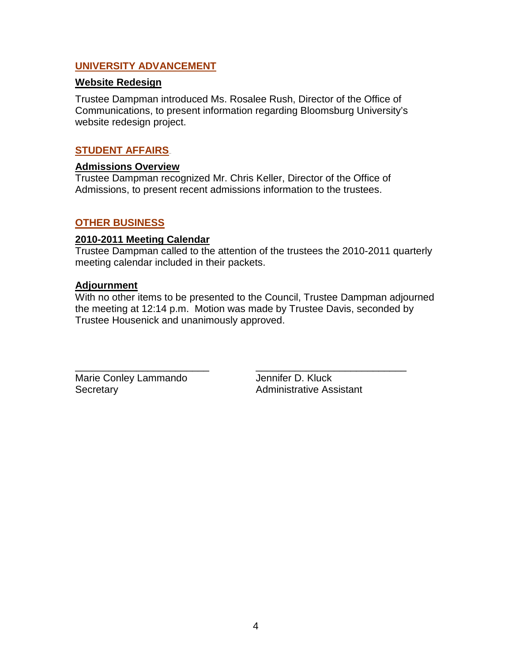## **UNIVERSITY ADVANCEMENT**

### **Website Redesign**

Trustee Dampman introduced Ms. Rosalee Rush, Director of the Office of Communications, to present information regarding Bloomsburg University's website redesign project.

## **STUDENT AFFAIRS**

# **Admissions Overview**

Trustee Dampman recognized Mr. Chris Keller, Director of the Office of Admissions, to present recent admissions information to the trustees.

## **OTHER BUSINESS**

### **2010-2011 Meeting Calendar**

Trustee Dampman called to the attention of the trustees the 2010-2011 quarterly meeting calendar included in their packets.

### **Adjournment**

With no other items to be presented to the Council, Trustee Dampman adjourned the meeting at 12:14 p.m. Motion was made by Trustee Davis, seconded by Trustee Housenick and unanimously approved.

Marie Conley Lammando Jennifer D. Kluck Secretary **Administrative Assistant** 

\_\_\_\_\_\_\_\_\_\_\_\_\_\_\_\_\_\_\_\_\_\_\_\_ \_\_\_\_\_\_\_\_\_\_\_\_\_\_\_\_\_\_\_\_\_\_\_\_\_\_\_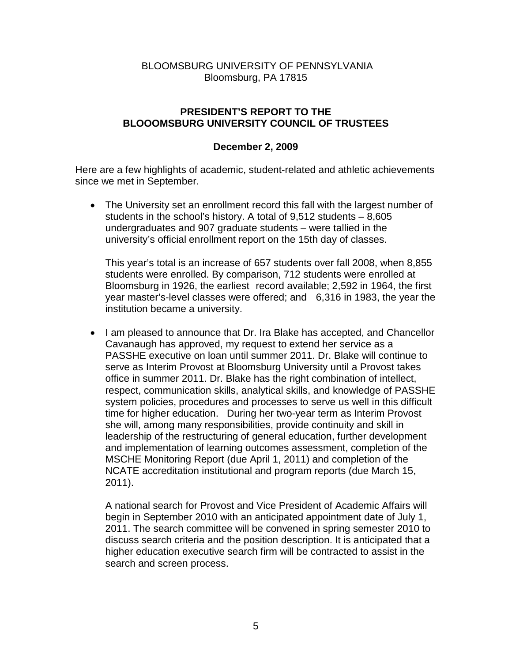## BLOOMSBURG UNIVERSITY OF PENNSYLVANIA Bloomsburg, PA 17815

# **PRESIDENT'S REPORT TO THE BLOOOMSBURG UNIVERSITY COUNCIL OF TRUSTEES**

## **December 2, 2009**

Here are a few highlights of academic, student-related and athletic achievements since we met in September.

• The University set an enrollment record this fall with the largest number of students in the school's history. A total of 9,512 students – 8,605 undergraduates and 907 graduate students – were tallied in the university's official enrollment report on the 15th day of classes.

This year's total is an increase of 657 students over fall 2008, when 8,855 students were enrolled. By comparison, 712 students were enrolled at Bloomsburg in 1926, the earliest record available; 2,592 in 1964, the first year master's-level classes were offered; and 6,316 in 1983, the year the institution became a university.

• I am pleased to announce that Dr. Ira Blake has accepted, and Chancellor Cavanaugh has approved, my request to extend her service as a PASSHE executive on loan until summer 2011. Dr. Blake will continue to serve as Interim Provost at Bloomsburg University until a Provost takes office in summer 2011. Dr. Blake has the right combination of intellect, respect, communication skills, analytical skills, and knowledge of PASSHE system policies, procedures and processes to serve us well in this difficult time for higher education. During her two-year term as Interim Provost she will, among many responsibilities, provide continuity and skill in leadership of the restructuring of general education, further development and implementation of learning outcomes assessment, completion of the MSCHE Monitoring Report (due April 1, 2011) and completion of the NCATE accreditation institutional and program reports (due March 15, 2011).

A national search for Provost and Vice President of Academic Affairs will begin in September 2010 with an anticipated appointment date of July 1, 2011. The search committee will be convened in spring semester 2010 to discuss search criteria and the position description. It is anticipated that a higher education executive search firm will be contracted to assist in the search and screen process.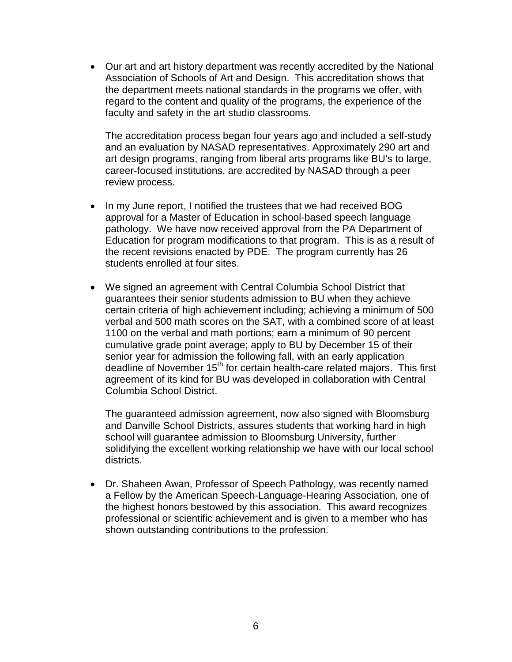• Our art and art history department was recently accredited by the National Association of Schools of Art and Design. This accreditation shows that the department meets national standards in the programs we offer, with regard to the content and quality of the programs, the experience of the faculty and safety in the art studio classrooms.

The accreditation process began four years ago and included a self-study and an evaluation by NASAD representatives. Approximately 290 art and art design programs, ranging from liberal arts programs like BU's to large, career-focused institutions, are accredited by NASAD through a peer review process.

- In my June report, I notified the trustees that we had received BOG approval for a Master of Education in school-based speech language pathology. We have now received approval from the PA Department of Education for program modifications to that program. This is as a result of the recent revisions enacted by PDE. The program currently has 26 students enrolled at four sites.
- We signed an agreement with Central Columbia School District that guarantees their senior students admission to BU when they achieve certain criteria of high achievement including; achieving a minimum of 500 verbal and 500 math scores on the SAT, with a combined score of at least 1100 on the verbal and math portions; earn a minimum of 90 percent cumulative grade point average; apply to BU by December 15 of their senior year for admission the following fall, with an early application deadline of November 15<sup>th</sup> for certain health-care related majors. This first agreement of its kind for BU was developed in collaboration with Central Columbia School District.

The guaranteed admission agreement, now also signed with Bloomsburg and Danville School Districts, assures students that working hard in high school will guarantee admission to Bloomsburg University, further solidifying the excellent working relationship we have with our local school districts.

• Dr. Shaheen Awan, Professor of Speech Pathology, was recently named a Fellow by the American Speech-Language-Hearing Association, one of the highest honors bestowed by this association. This award recognizes professional or scientific achievement and is given to a member who has shown outstanding contributions to the profession.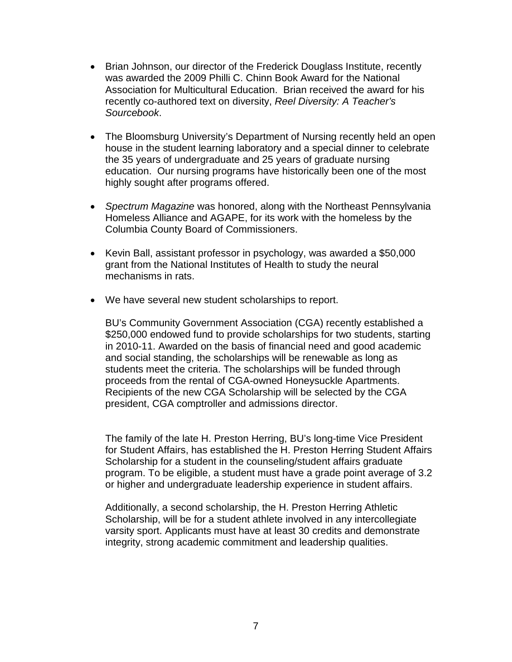- Brian Johnson, our director of the Frederick Douglass Institute, recently was awarded the 2009 Philli C. Chinn Book Award for the National Association for Multicultural Education. Brian received the award for his recently co-authored text on diversity, *Reel Diversity: A Teacher's Sourcebook*.
- The Bloomsburg University's Department of Nursing recently held an open house in the student learning laboratory and a special dinner to celebrate the 35 years of undergraduate and 25 years of graduate nursing education. Our nursing programs have historically been one of the most highly sought after programs offered.
- *Spectrum Magazine* was honored, along with the Northeast Pennsylvania Homeless Alliance and AGAPE, for its work with the homeless by the Columbia County Board of Commissioners.
- Kevin Ball, assistant professor in psychology, was awarded a \$50,000 grant from the National Institutes of Health to study the neural mechanisms in rats.
- We have several new student scholarships to report.

BU's Community Government Association (CGA) recently established a \$250,000 endowed fund to provide scholarships for two students, starting in 2010-11. Awarded on the basis of financial need and good academic and social standing, the scholarships will be renewable as long as students meet the criteria. The scholarships will be funded through proceeds from the rental of CGA-owned Honeysuckle Apartments. Recipients of the new CGA Scholarship will be selected by the CGA president, CGA comptroller and admissions director.

The family of the late H. Preston Herring, BU's long-time Vice President for Student Affairs, has established the H. Preston Herring Student Affairs Scholarship for a student in the counseling/student affairs graduate program. To be eligible, a student must have a grade point average of 3.2 or higher and undergraduate leadership experience in student affairs.

Additionally, a second scholarship, the H. Preston Herring Athletic Scholarship, will be for a student athlete involved in any intercollegiate varsity sport. Applicants must have at least 30 credits and demonstrate integrity, strong academic commitment and leadership qualities.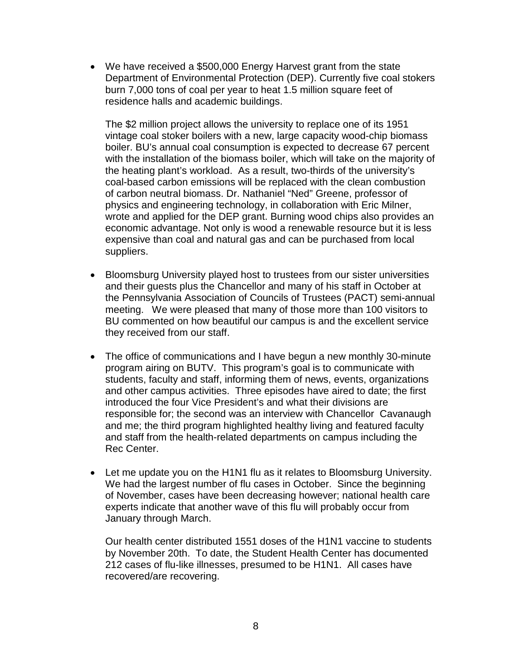• We have received a \$500,000 Energy Harvest grant from the state Department of Environmental Protection (DEP). Currently five coal stokers burn 7,000 tons of coal per year to heat 1.5 million square feet of residence halls and academic buildings.

The \$2 million project allows the university to replace one of its 1951 vintage coal stoker boilers with a new, large capacity wood-chip biomass boiler. BU's annual coal consumption is expected to decrease 67 percent with the installation of the biomass boiler, which will take on the majority of the heating plant's workload. As a result, two-thirds of the university's coal-based carbon emissions will be replaced with the clean combustion of carbon neutral biomass. Dr. Nathaniel "Ned" Greene, professor of physics and engineering technology, in collaboration with Eric Milner, wrote and applied for the DEP grant. Burning wood chips also provides an economic advantage. Not only is wood a renewable resource but it is less expensive than coal and natural gas and can be purchased from local suppliers.

- Bloomsburg University played host to trustees from our sister universities and their guests plus the Chancellor and many of his staff in October at the Pennsylvania Association of Councils of Trustees (PACT) semi-annual meeting. We were pleased that many of those more than 100 visitors to BU commented on how beautiful our campus is and the excellent service they received from our staff.
- The office of communications and I have begun a new monthly 30-minute program airing on BUTV. This program's goal is to communicate with students, faculty and staff, informing them of news, events, organizations and other campus activities. Three episodes have aired to date; the first introduced the four Vice President's and what their divisions are responsible for; the second was an interview with Chancellor Cavanaugh and me; the third program highlighted healthy living and featured faculty and staff from the health-related departments on campus including the Rec Center.
- Let me update you on the H1N1 flu as it relates to Bloomsburg University. We had the largest number of flu cases in October. Since the beginning of November, cases have been decreasing however; national health care experts indicate that another wave of this flu will probably occur from January through March.

Our health center distributed 1551 doses of the H1N1 vaccine to students by November 20th. To date, the Student Health Center has documented 212 cases of flu-like illnesses, presumed to be H1N1. All cases have recovered/are recovering.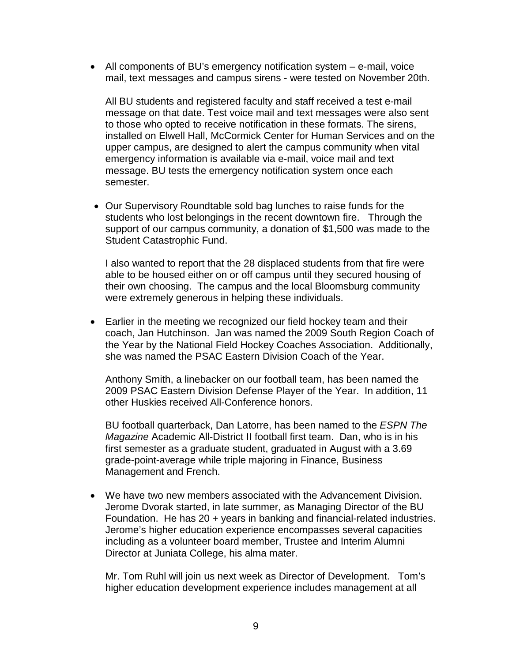• All components of BU's emergency notification system – e-mail, voice mail, text messages and campus sirens - were tested on November 20th.

All BU students and registered faculty and staff received a test e-mail message on that date. Test voice mail and text messages were also sent to those who opted to receive notification in these formats. The sirens, installed on Elwell Hall, McCormick Center for Human Services and on the upper campus, are designed to alert the campus community when vital emergency information is available via e-mail, voice mail and text message. BU tests the emergency notification system once each semester.

• Our Supervisory Roundtable sold bag lunches to raise funds for the students who lost belongings in the recent downtown fire. Through the support of our campus community, a donation of \$1,500 was made to the Student Catastrophic Fund.

I also wanted to report that the 28 displaced students from that fire were able to be housed either on or off campus until they secured housing of their own choosing. The campus and the local Bloomsburg community were extremely generous in helping these individuals.

• Earlier in the meeting we recognized our field hockey team and their coach, Jan Hutchinson. Jan was named the 2009 South Region Coach of the Year by the National Field Hockey Coaches Association. Additionally, she was named the PSAC Eastern Division Coach of the Year.

Anthony Smith, a linebacker on our football team, has been named the 2009 PSAC Eastern Division Defense Player of the Year. In addition, 11 other Huskies received All-Conference honors.

BU football quarterback, Dan Latorre, has been named to the *ESPN The Magazine* Academic All-District II football first team. Dan, who is in his first semester as a graduate student, graduated in August with a 3.69 grade-point-average while triple majoring in Finance, Business Management and French.

• We have two new members associated with the Advancement Division. Jerome Dvorak started, in late summer, as Managing Director of the BU Foundation. He has 20 + years in banking and financial-related industries. Jerome's higher education experience encompasses several capacities including as a volunteer board member, Trustee and Interim Alumni Director at Juniata College, his alma mater.

Mr. Tom Ruhl will join us next week as Director of Development. Tom's higher education development experience includes management at all